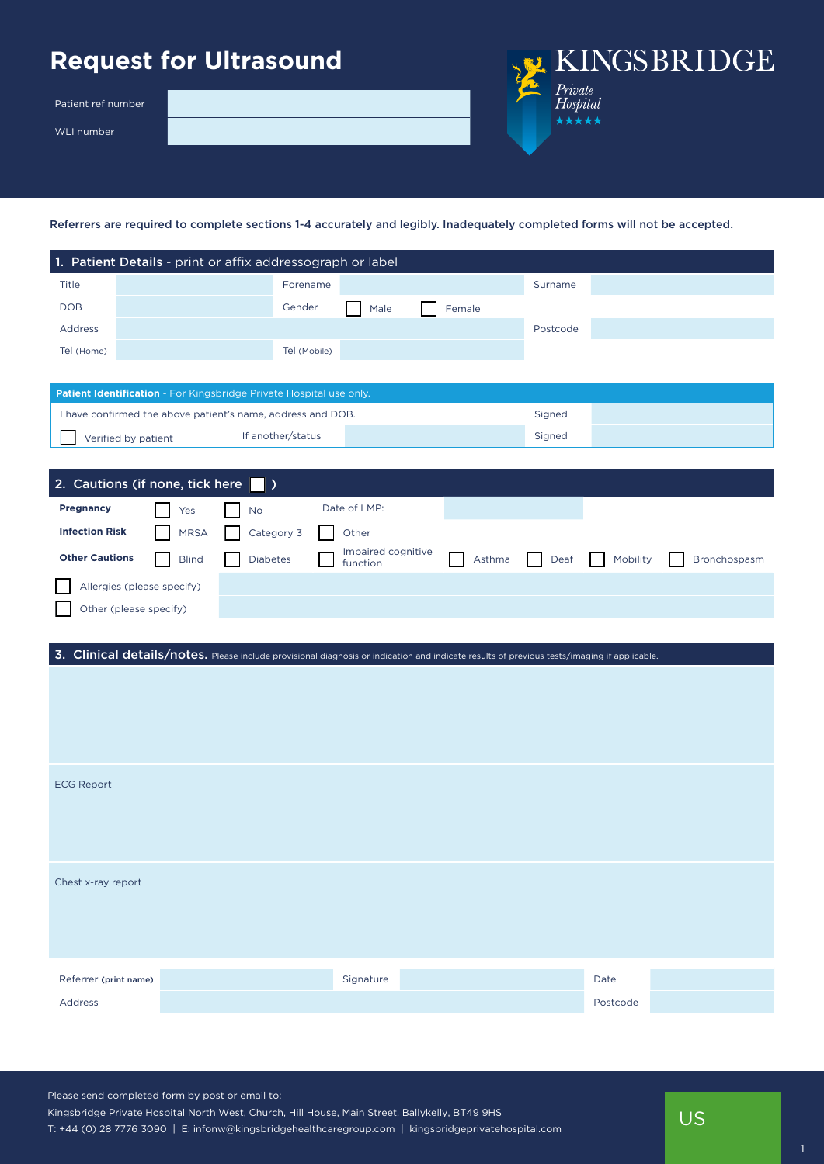## **Request for Ultrasound**

Patient ref number

WLI number

KINGSBRIDGE Private<br>Hospital \*\*\*\*\*

Referrers are required to complete sections 1-4 accurately and legibly. Inadequately completed forms will not be accepted.

|                                                                     | 1. Patient Details - print or affix addressograph or label                                                                                  |           |                   |                                |  |        |          |          |              |  |  |  |
|---------------------------------------------------------------------|---------------------------------------------------------------------------------------------------------------------------------------------|-----------|-------------------|--------------------------------|--|--------|----------|----------|--------------|--|--|--|
| Title                                                               |                                                                                                                                             |           | Forename          |                                |  |        | Surname  |          |              |  |  |  |
| <b>DOB</b>                                                          |                                                                                                                                             |           | Gender            | Male                           |  | Female |          |          |              |  |  |  |
| Address                                                             |                                                                                                                                             |           |                   |                                |  |        | Postcode |          |              |  |  |  |
| Tel (Home)                                                          |                                                                                                                                             |           | Tel (Mobile)      |                                |  |        |          |          |              |  |  |  |
|                                                                     |                                                                                                                                             |           |                   |                                |  |        |          |          |              |  |  |  |
| Patient Identification - For Kingsbridge Private Hospital use only. |                                                                                                                                             |           |                   |                                |  |        |          |          |              |  |  |  |
| I have confirmed the above patient's name, address and DOB.         |                                                                                                                                             |           |                   |                                |  |        | Signed   |          |              |  |  |  |
|                                                                     | Verified by patient                                                                                                                         |           | If another/status |                                |  |        | Signed   |          |              |  |  |  |
|                                                                     |                                                                                                                                             |           |                   |                                |  |        |          |          |              |  |  |  |
|                                                                     | 2. Cautions (if none, tick here $\blacksquare$ )                                                                                            |           |                   |                                |  |        |          |          |              |  |  |  |
| <b>Pregnancy</b>                                                    | Yes                                                                                                                                         | <b>No</b> |                   | Date of LMP:                   |  |        |          |          |              |  |  |  |
| <b>Infection Risk</b>                                               | <b>MRSA</b>                                                                                                                                 |           | Category 3        | Other                          |  |        |          |          |              |  |  |  |
| <b>Other Cautions</b>                                               | <b>Blind</b>                                                                                                                                | Diabetes  |                   | Impaired cognitive<br>function |  | Asthma | Deaf     | Mobility | Bronchospasm |  |  |  |
|                                                                     | Allergies (please specify)                                                                                                                  |           |                   |                                |  |        |          |          |              |  |  |  |
|                                                                     | Other (please specify)                                                                                                                      |           |                   |                                |  |        |          |          |              |  |  |  |
|                                                                     |                                                                                                                                             |           |                   |                                |  |        |          |          |              |  |  |  |
|                                                                     | 3. Clinical details/notes. Please include provisional diagnosis or indication and indicate results of previous tests/imaging if applicable. |           |                   |                                |  |        |          |          |              |  |  |  |
|                                                                     |                                                                                                                                             |           |                   |                                |  |        |          |          |              |  |  |  |
|                                                                     |                                                                                                                                             |           |                   |                                |  |        |          |          |              |  |  |  |
|                                                                     |                                                                                                                                             |           |                   |                                |  |        |          |          |              |  |  |  |
|                                                                     |                                                                                                                                             |           |                   |                                |  |        |          |          |              |  |  |  |
|                                                                     |                                                                                                                                             |           |                   |                                |  |        |          |          |              |  |  |  |
| <b>ECG Report</b>                                                   |                                                                                                                                             |           |                   |                                |  |        |          |          |              |  |  |  |
|                                                                     |                                                                                                                                             |           |                   |                                |  |        |          |          |              |  |  |  |
|                                                                     |                                                                                                                                             |           |                   |                                |  |        |          |          |              |  |  |  |
|                                                                     |                                                                                                                                             |           |                   |                                |  |        |          |          |              |  |  |  |
| Chest x-ray report                                                  |                                                                                                                                             |           |                   |                                |  |        |          |          |              |  |  |  |
|                                                                     |                                                                                                                                             |           |                   |                                |  |        |          |          |              |  |  |  |
|                                                                     |                                                                                                                                             |           |                   |                                |  |        |          |          |              |  |  |  |
|                                                                     |                                                                                                                                             |           |                   |                                |  |        |          |          |              |  |  |  |
| Referrer (print name)                                               |                                                                                                                                             |           |                   | Signature                      |  |        |          | Date     |              |  |  |  |
|                                                                     |                                                                                                                                             |           |                   |                                |  |        |          |          |              |  |  |  |
| Address                                                             |                                                                                                                                             |           |                   |                                |  |        |          | Postcode |              |  |  |  |

Please send completed form by post or email to: Kingsbridge Private Hospital North West, Church, Hill House, Main Street, Ballykelly, BT49 9HS T: +44 (0) 28 7776 3090 | E: infonw@kingsbridgehealthcaregroup.com | kingsbridgeprivatehospital.com